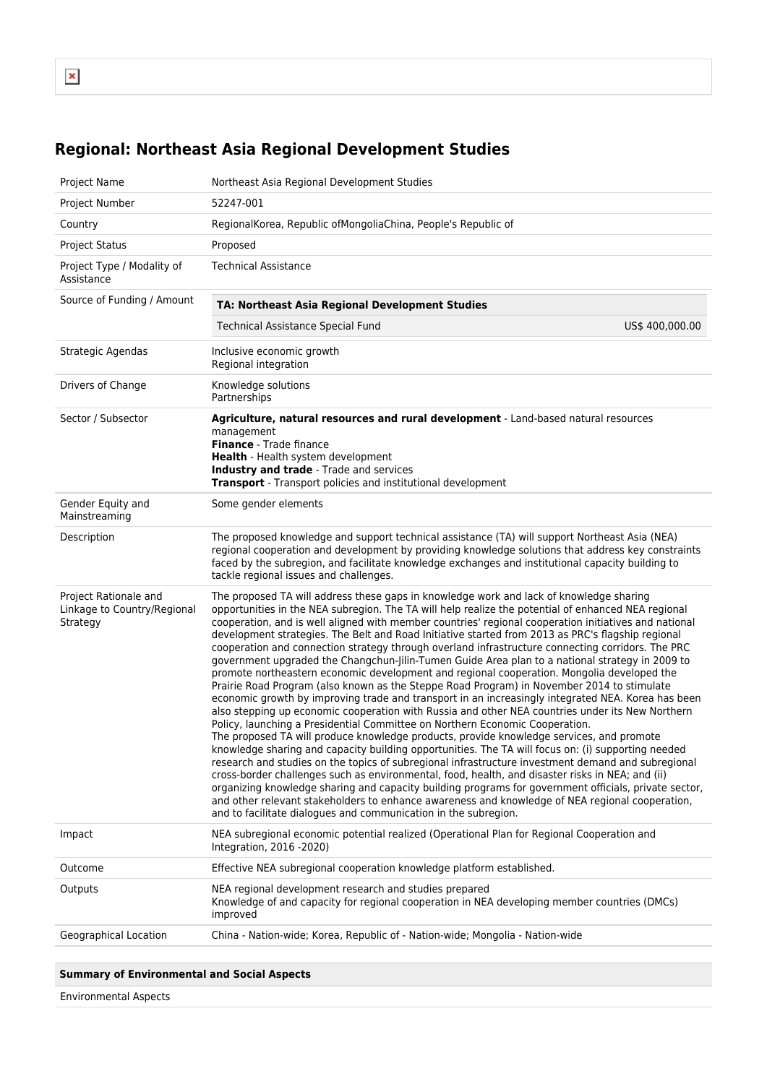## **Regional: Northeast Asia Regional Development Studies**

| Project Name                                                     | Northeast Asia Regional Development Studies                                                                                                                                                                                                                                                                                                                                                                                                                                                                                                                                                                                                                                                                                                                                                                                                                                                                                                                                                                                                                                                                                                                                                                                                                                                                                                                                                                                                                                                                                                                                                                                                                                                                                                                                                           |
|------------------------------------------------------------------|-------------------------------------------------------------------------------------------------------------------------------------------------------------------------------------------------------------------------------------------------------------------------------------------------------------------------------------------------------------------------------------------------------------------------------------------------------------------------------------------------------------------------------------------------------------------------------------------------------------------------------------------------------------------------------------------------------------------------------------------------------------------------------------------------------------------------------------------------------------------------------------------------------------------------------------------------------------------------------------------------------------------------------------------------------------------------------------------------------------------------------------------------------------------------------------------------------------------------------------------------------------------------------------------------------------------------------------------------------------------------------------------------------------------------------------------------------------------------------------------------------------------------------------------------------------------------------------------------------------------------------------------------------------------------------------------------------------------------------------------------------------------------------------------------------|
| Project Number                                                   | 52247-001                                                                                                                                                                                                                                                                                                                                                                                                                                                                                                                                                                                                                                                                                                                                                                                                                                                                                                                                                                                                                                                                                                                                                                                                                                                                                                                                                                                                                                                                                                                                                                                                                                                                                                                                                                                             |
| Country                                                          | RegionalKorea, Republic ofMongoliaChina, People's Republic of                                                                                                                                                                                                                                                                                                                                                                                                                                                                                                                                                                                                                                                                                                                                                                                                                                                                                                                                                                                                                                                                                                                                                                                                                                                                                                                                                                                                                                                                                                                                                                                                                                                                                                                                         |
| <b>Project Status</b>                                            | Proposed                                                                                                                                                                                                                                                                                                                                                                                                                                                                                                                                                                                                                                                                                                                                                                                                                                                                                                                                                                                                                                                                                                                                                                                                                                                                                                                                                                                                                                                                                                                                                                                                                                                                                                                                                                                              |
| Project Type / Modality of<br>Assistance                         | <b>Technical Assistance</b>                                                                                                                                                                                                                                                                                                                                                                                                                                                                                                                                                                                                                                                                                                                                                                                                                                                                                                                                                                                                                                                                                                                                                                                                                                                                                                                                                                                                                                                                                                                                                                                                                                                                                                                                                                           |
| Source of Funding / Amount                                       | TA: Northeast Asia Regional Development Studies                                                                                                                                                                                                                                                                                                                                                                                                                                                                                                                                                                                                                                                                                                                                                                                                                                                                                                                                                                                                                                                                                                                                                                                                                                                                                                                                                                                                                                                                                                                                                                                                                                                                                                                                                       |
|                                                                  | <b>Technical Assistance Special Fund</b><br>US\$ 400,000.00                                                                                                                                                                                                                                                                                                                                                                                                                                                                                                                                                                                                                                                                                                                                                                                                                                                                                                                                                                                                                                                                                                                                                                                                                                                                                                                                                                                                                                                                                                                                                                                                                                                                                                                                           |
| Strategic Agendas                                                | Inclusive economic growth<br>Regional integration                                                                                                                                                                                                                                                                                                                                                                                                                                                                                                                                                                                                                                                                                                                                                                                                                                                                                                                                                                                                                                                                                                                                                                                                                                                                                                                                                                                                                                                                                                                                                                                                                                                                                                                                                     |
| Drivers of Change                                                | Knowledge solutions<br>Partnerships                                                                                                                                                                                                                                                                                                                                                                                                                                                                                                                                                                                                                                                                                                                                                                                                                                                                                                                                                                                                                                                                                                                                                                                                                                                                                                                                                                                                                                                                                                                                                                                                                                                                                                                                                                   |
| Sector / Subsector                                               | Agriculture, natural resources and rural development - Land-based natural resources<br>management<br>Finance - Trade finance<br>Health - Health system development<br>Industry and trade - Trade and services<br><b>Transport</b> - Transport policies and institutional development                                                                                                                                                                                                                                                                                                                                                                                                                                                                                                                                                                                                                                                                                                                                                                                                                                                                                                                                                                                                                                                                                                                                                                                                                                                                                                                                                                                                                                                                                                                  |
| Gender Equity and<br>Mainstreaming                               | Some gender elements                                                                                                                                                                                                                                                                                                                                                                                                                                                                                                                                                                                                                                                                                                                                                                                                                                                                                                                                                                                                                                                                                                                                                                                                                                                                                                                                                                                                                                                                                                                                                                                                                                                                                                                                                                                  |
| Description                                                      | The proposed knowledge and support technical assistance (TA) will support Northeast Asia (NEA)<br>regional cooperation and development by providing knowledge solutions that address key constraints<br>faced by the subregion, and facilitate knowledge exchanges and institutional capacity building to<br>tackle regional issues and challenges.                                                                                                                                                                                                                                                                                                                                                                                                                                                                                                                                                                                                                                                                                                                                                                                                                                                                                                                                                                                                                                                                                                                                                                                                                                                                                                                                                                                                                                                   |
| Project Rationale and<br>Linkage to Country/Regional<br>Strategy | The proposed TA will address these gaps in knowledge work and lack of knowledge sharing<br>opportunities in the NEA subregion. The TA will help realize the potential of enhanced NEA regional<br>cooperation, and is well aligned with member countries' regional cooperation initiatives and national<br>development strategies. The Belt and Road Initiative started from 2013 as PRC's flagship regional<br>cooperation and connection strategy through overland infrastructure connecting corridors. The PRC<br>government upgraded the Changchun-Jilin-Tumen Guide Area plan to a national strategy in 2009 to<br>promote northeastern economic development and regional cooperation. Mongolia developed the<br>Prairie Road Program (also known as the Steppe Road Program) in November 2014 to stimulate<br>economic growth by improving trade and transport in an increasingly integrated NEA. Korea has been<br>also stepping up economic cooperation with Russia and other NEA countries under its New Northern<br>Policy, launching a Presidential Committee on Northern Economic Cooperation.<br>The proposed TA will produce knowledge products, provide knowledge services, and promote<br>knowledge sharing and capacity building opportunities. The TA will focus on: (i) supporting needed<br>research and studies on the topics of subregional infrastructure investment demand and subregional<br>cross-border challenges such as environmental, food, health, and disaster risks in NEA; and (ii)<br>organizing knowledge sharing and capacity building programs for government officials, private sector,<br>and other relevant stakeholders to enhance awareness and knowledge of NEA regional cooperation,<br>and to facilitate dialogues and communication in the subregion. |
| Impact                                                           | NEA subregional economic potential realized (Operational Plan for Regional Cooperation and<br>Integration, 2016 -2020)                                                                                                                                                                                                                                                                                                                                                                                                                                                                                                                                                                                                                                                                                                                                                                                                                                                                                                                                                                                                                                                                                                                                                                                                                                                                                                                                                                                                                                                                                                                                                                                                                                                                                |
| Outcome                                                          | Effective NEA subregional cooperation knowledge platform established.                                                                                                                                                                                                                                                                                                                                                                                                                                                                                                                                                                                                                                                                                                                                                                                                                                                                                                                                                                                                                                                                                                                                                                                                                                                                                                                                                                                                                                                                                                                                                                                                                                                                                                                                 |
| Outputs                                                          | NEA regional development research and studies prepared<br>Knowledge of and capacity for regional cooperation in NEA developing member countries (DMCs)<br>improved                                                                                                                                                                                                                                                                                                                                                                                                                                                                                                                                                                                                                                                                                                                                                                                                                                                                                                                                                                                                                                                                                                                                                                                                                                                                                                                                                                                                                                                                                                                                                                                                                                    |
| Geographical Location                                            | China - Nation-wide; Korea, Republic of - Nation-wide; Mongolia - Nation-wide                                                                                                                                                                                                                                                                                                                                                                                                                                                                                                                                                                                                                                                                                                                                                                                                                                                                                                                                                                                                                                                                                                                                                                                                                                                                                                                                                                                                                                                                                                                                                                                                                                                                                                                         |
|                                                                  |                                                                                                                                                                                                                                                                                                                                                                                                                                                                                                                                                                                                                                                                                                                                                                                                                                                                                                                                                                                                                                                                                                                                                                                                                                                                                                                                                                                                                                                                                                                                                                                                                                                                                                                                                                                                       |

## **Summary of Environmental and Social Aspects**

Environmental Aspects